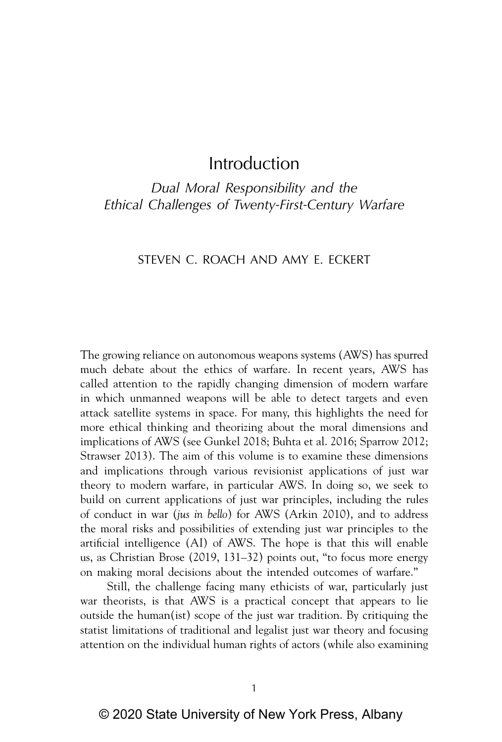*Dual Moral Responsibility and the Ethical Challenges of Twenty-First-Century Warfare*

## STEVEN C. ROACH AND AMY E. ECKERT

The growing reliance on autonomous weapons systems (AWS) has spurred much debate about the ethics of warfare. In recent years, AWS has called attention to the rapidly changing dimension of modern warfare in which unmanned weapons will be able to detect targets and even attack satellite systems in space. For many, this highlights the need for more ethical thinking and theorizing about the moral dimensions and implications of AWS (see Gunkel 2018; Buhta et al. 2016; Sparrow 2012; Strawser 2013). The aim of this volume is to examine these dimensions and implications through various revisionist applications of just war theory to modern warfare, in particular AWS. In doing so, we seek to build on current applications of just war principles, including the rules of conduct in war (*jus in bello*) for AWS (Arkin 2010), and to address the moral risks and possibilities of extending just war principles to the artificial intelligence (AI) of AWS. The hope is that this will enable us, as Christian Brose (2019, 131–32) points out, "to focus more energy on making moral decisions about the intended outcomes of warfare."

Still, the challenge facing many ethicists of war, particularly just war theorists, is that AWS is a practical concept that appears to lie outside the human(ist) scope of the just war tradition. By critiquing the statist limitations of traditional and legalist just war theory and focusing attention on the individual human rights of actors (while also examining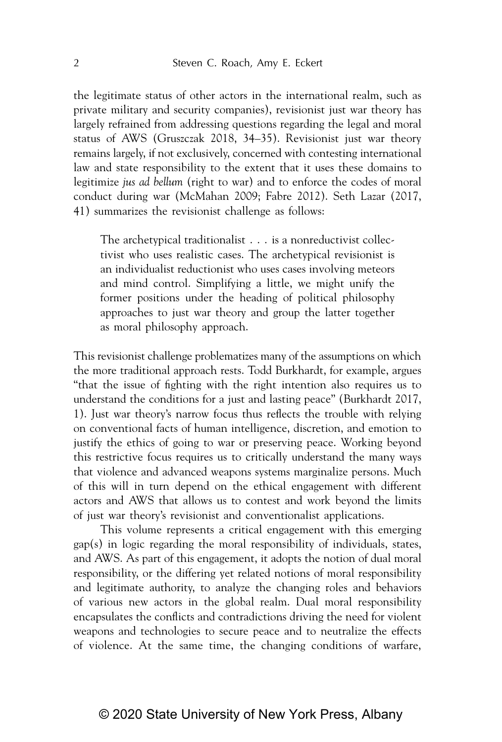the legitimate status of other actors in the international realm, such as private military and security companies), revisionist just war theory has largely refrained from addressing questions regarding the legal and moral status of AWS (Gruszczak 2018, 34–35). Revisionist just war theory remains largely, if not exclusively, concerned with contesting international law and state responsibility to the extent that it uses these domains to legitimize *jus ad bellum* (right to war) and to enforce the codes of moral conduct during war (McMahan 2009; Fabre 2012). Seth Lazar (2017, 41) summarizes the revisionist challenge as follows:

The archetypical traditionalist . . . is a nonreductivist collectivist who uses realistic cases. The archetypical revisionist is an individualist reductionist who uses cases involving meteors and mind control. Simplifying a little, we might unify the former positions under the heading of political philosophy approaches to just war theory and group the latter together as moral philosophy approach.

This revisionist challenge problematizes many of the assumptions on which the more traditional approach rests. Todd Burkhardt, for example, argues "that the issue of fighting with the right intention also requires us to understand the conditions for a just and lasting peace" (Burkhardt 2017, 1). Just war theory's narrow focus thus reflects the trouble with relying on conventional facts of human intelligence, discretion, and emotion to justify the ethics of going to war or preserving peace. Working beyond this restrictive focus requires us to critically understand the many ways that violence and advanced weapons systems marginalize persons. Much of this will in turn depend on the ethical engagement with different actors and AWS that allows us to contest and work beyond the limits of just war theory's revisionist and conventionalist applications.

This volume represents a critical engagement with this emerging gap(s) in logic regarding the moral responsibility of individuals, states, and AWS. As part of this engagement, it adopts the notion of dual moral responsibility, or the differing yet related notions of moral responsibility and legitimate authority, to analyze the changing roles and behaviors of various new actors in the global realm. Dual moral responsibility encapsulates the conflicts and contradictions driving the need for violent weapons and technologies to secure peace and to neutralize the effects of violence. At the same time, the changing conditions of warfare,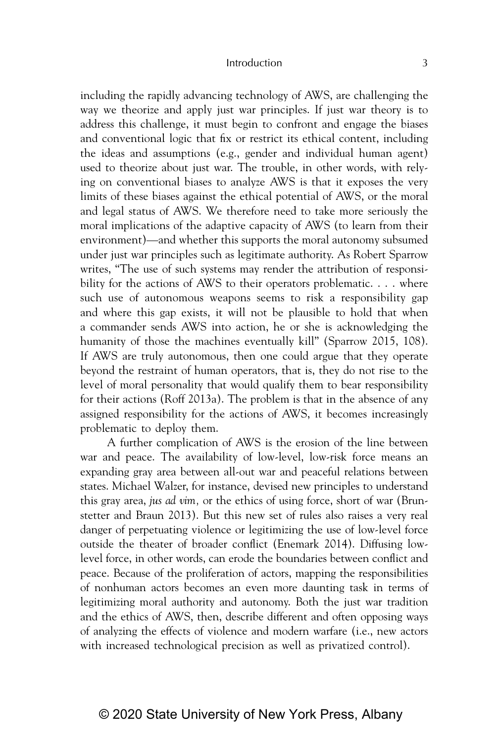including the rapidly advancing technology of AWS, are challenging the way we theorize and apply just war principles. If just war theory is to address this challenge, it must begin to confront and engage the biases and conventional logic that fix or restrict its ethical content, including the ideas and assumptions (e.g., gender and individual human agent) used to theorize about just war. The trouble, in other words, with relying on conventional biases to analyze AWS is that it exposes the very limits of these biases against the ethical potential of AWS, or the moral and legal status of AWS. We therefore need to take more seriously the moral implications of the adaptive capacity of AWS (to learn from their environment)—and whether this supports the moral autonomy subsumed under just war principles such as legitimate authority. As Robert Sparrow writes, "The use of such systems may render the attribution of responsibility for the actions of AWS to their operators problematic. . . . where such use of autonomous weapons seems to risk a responsibility gap and where this gap exists, it will not be plausible to hold that when a commander sends AWS into action, he or she is acknowledging the humanity of those the machines eventually kill" (Sparrow 2015, 108). If AWS are truly autonomous, then one could argue that they operate beyond the restraint of human operators, that is, they do not rise to the level of moral personality that would qualify them to bear responsibility for their actions (Roff 2013a). The problem is that in the absence of any assigned responsibility for the actions of AWS, it becomes increasingly problematic to deploy them.

A further complication of AWS is the erosion of the line between war and peace. The availability of low-level, low-risk force means an expanding gray area between all-out war and peaceful relations between states. Michael Walzer, for instance, devised new principles to understand this gray area, *jus ad vim,* or the ethics of using force, short of war (Brunstetter and Braun 2013). But this new set of rules also raises a very real danger of perpetuating violence or legitimizing the use of low-level force outside the theater of broader conflict (Enemark 2014). Diffusing lowlevel force, in other words, can erode the boundaries between conflict and peace. Because of the proliferation of actors, mapping the responsibilities of nonhuman actors becomes an even more daunting task in terms of legitimizing moral authority and autonomy. Both the just war tradition and the ethics of AWS, then, describe different and often opposing ways of analyzing the effects of violence and modern warfare (i.e., new actors with increased technological precision as well as privatized control).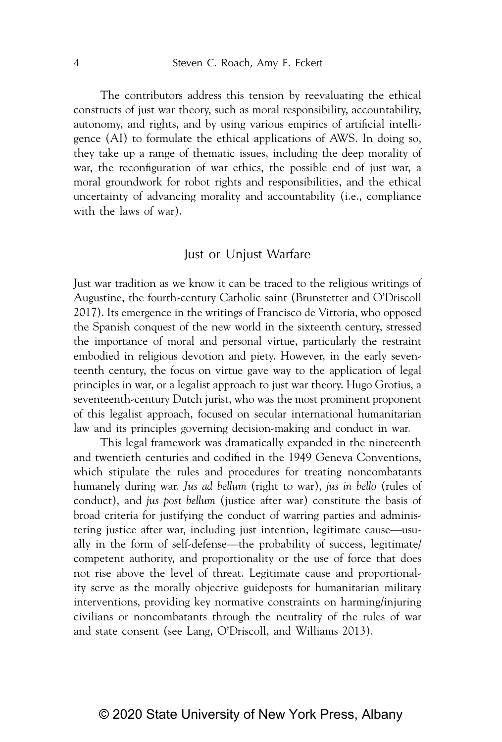The contributors address this tension by reevaluating the ethical constructs of just war theory, such as moral responsibility, accountability, autonomy, and rights, and by using various empirics of artificial intelligence (AI) to formulate the ethical applications of AWS. In doing so, they take up a range of thematic issues, including the deep morality of war, the reconfiguration of war ethics, the possible end of just war, a moral groundwork for robot rights and responsibilities, and the ethical uncertainty of advancing morality and accountability (i.e., compliance with the laws of war).

#### Just or Unjust Warfare

Just war tradition as we know it can be traced to the religious writings of Augustine, the fourth-century Catholic saint (Brunstetter and O'Driscoll 2017). Its emergence in the writings of Francisco de Vittoria, who opposed the Spanish conquest of the new world in the sixteenth century, stressed the importance of moral and personal virtue, particularly the restraint embodied in religious devotion and piety. However, in the early seventeenth century, the focus on virtue gave way to the application of legal principles in war, or a legalist approach to just war theory. Hugo Grotius, a seventeenth-century Dutch jurist, who was the most prominent proponent of this legalist approach, focused on secular international humanitarian law and its principles governing decision-making and conduct in war.

This legal framework was dramatically expanded in the nineteenth and twentieth centuries and codified in the 1949 Geneva Conventions, which stipulate the rules and procedures for treating noncombatants humanely during war. *Jus ad bellum* (right to war), *jus in bello* (rules of conduct), and *jus post bellum* (justice after war) constitute the basis of broad criteria for justifying the conduct of warring parties and administering justice after war, including just intention, legitimate cause—usually in the form of self-defense—the probability of success, legitimate/ competent authority, and proportionality or the use of force that does not rise above the level of threat. Legitimate cause and proportionality serve as the morally objective guideposts for humanitarian military interventions, providing key normative constraints on harming/injuring civilians or noncombatants through the neutrality of the rules of war and state consent (see Lang, O'Driscoll, and Williams 2013).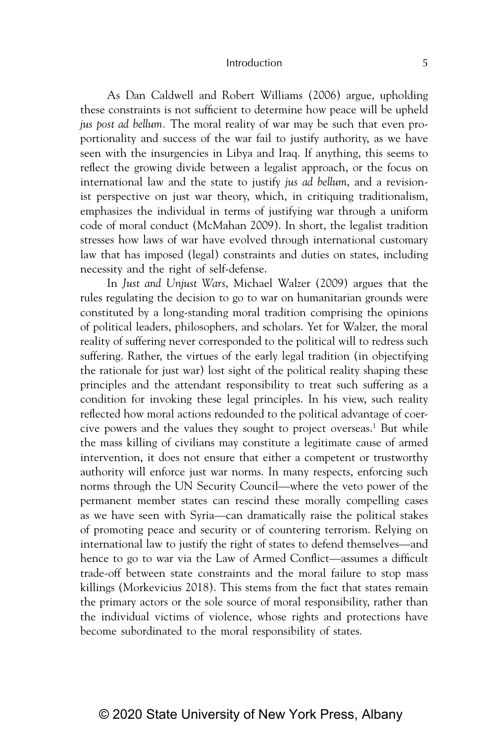As Dan Caldwell and Robert Williams (2006) argue, upholding these constraints is not sufficient to determine how peace will be upheld *jus post ad bellum.* The moral reality of war may be such that even proportionality and success of the war fail to justify authority, as we have seen with the insurgencies in Libya and Iraq. If anything, this seems to reflect the growing divide between a legalist approach, or the focus on international law and the state to justify *jus ad bellum*, and a revisionist perspective on just war theory, which, in critiquing traditionalism, emphasizes the individual in terms of justifying war through a uniform code of moral conduct (McMahan 2009). In short, the legalist tradition stresses how laws of war have evolved through international customary law that has imposed (legal) constraints and duties on states, including necessity and the right of self-defense.

In *Just and Unjust Wars*, Michael Walzer (2009) argues that the rules regulating the decision to go to war on humanitarian grounds were constituted by a long-standing moral tradition comprising the opinions of political leaders, philosophers, and scholars. Yet for Walzer, the moral reality of suffering never corresponded to the political will to redress such suffering. Rather, the virtues of the early legal tradition (in objectifying the rationale for just war) lost sight of the political reality shaping these principles and the attendant responsibility to treat such suffering as a condition for invoking these legal principles. In his view, such reality reflected how moral actions redounded to the political advantage of coercive powers and the values they sought to project overseas.<sup>1</sup> But while the mass killing of civilians may constitute a legitimate cause of armed intervention, it does not ensure that either a competent or trustworthy authority will enforce just war norms. In many respects, enforcing such norms through the UN Security Council—where the veto power of the permanent member states can rescind these morally compelling cases as we have seen with Syria—can dramatically raise the political stakes of promoting peace and security or of countering terrorism. Relying on international law to justify the right of states to defend themselves—and hence to go to war via the Law of Armed Conflict—assumes a difficult trade-off between state constraints and the moral failure to stop mass killings (Morkevicius 2018). This stems from the fact that states remain the primary actors or the sole source of moral responsibility, rather than the individual victims of violence, whose rights and protections have become subordinated to the moral responsibility of states.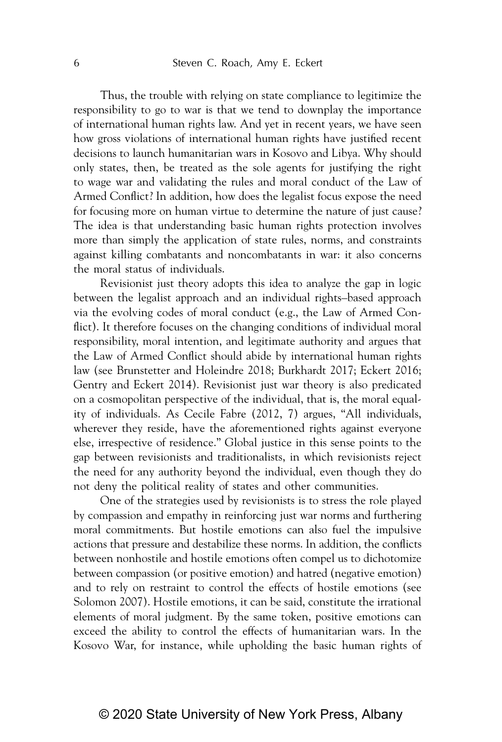Thus, the trouble with relying on state compliance to legitimize the responsibility to go to war is that we tend to downplay the importance of international human rights law. And yet in recent years, we have seen how gross violations of international human rights have justified recent decisions to launch humanitarian wars in Kosovo and Libya. Why should only states, then, be treated as the sole agents for justifying the right to wage war and validating the rules and moral conduct of the Law of Armed Conflict? In addition, how does the legalist focus expose the need for focusing more on human virtue to determine the nature of just cause? The idea is that understanding basic human rights protection involves more than simply the application of state rules, norms, and constraints against killing combatants and noncombatants in war: it also concerns the moral status of individuals.

Revisionist just theory adopts this idea to analyze the gap in logic between the legalist approach and an individual rights–based approach via the evolving codes of moral conduct (e.g., the Law of Armed Conflict). It therefore focuses on the changing conditions of individual moral responsibility, moral intention, and legitimate authority and argues that the Law of Armed Conflict should abide by international human rights law (see Brunstetter and Holeindre 2018; Burkhardt 2017; Eckert 2016; Gentry and Eckert 2014). Revisionist just war theory is also predicated on a cosmopolitan perspective of the individual, that is, the moral equality of individuals. As Cecile Fabre (2012, 7) argues, "All individuals, wherever they reside, have the aforementioned rights against everyone else, irrespective of residence." Global justice in this sense points to the gap between revisionists and traditionalists, in which revisionists reject the need for any authority beyond the individual, even though they do not deny the political reality of states and other communities.

One of the strategies used by revisionists is to stress the role played by compassion and empathy in reinforcing just war norms and furthering moral commitments. But hostile emotions can also fuel the impulsive actions that pressure and destabilize these norms. In addition, the conflicts between nonhostile and hostile emotions often compel us to dichotomize between compassion (or positive emotion) and hatred (negative emotion) and to rely on restraint to control the effects of hostile emotions (see Solomon 2007). Hostile emotions, it can be said, constitute the irrational elements of moral judgment. By the same token, positive emotions can exceed the ability to control the effects of humanitarian wars. In the Kosovo War, for instance, while upholding the basic human rights of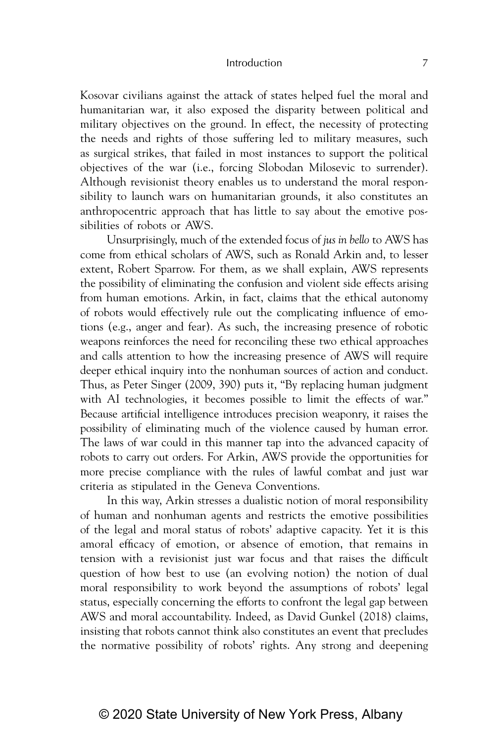Kosovar civilians against the attack of states helped fuel the moral and humanitarian war, it also exposed the disparity between political and military objectives on the ground. In effect, the necessity of protecting the needs and rights of those suffering led to military measures, such as surgical strikes, that failed in most instances to support the political objectives of the war (i.e., forcing Slobodan Milosevic to surrender). Although revisionist theory enables us to understand the moral responsibility to launch wars on humanitarian grounds, it also constitutes an anthropocentric approach that has little to say about the emotive possibilities of robots or AWS.

Unsurprisingly, much of the extended focus of *jus in bello* to AWS has come from ethical scholars of AWS, such as Ronald Arkin and, to lesser extent, Robert Sparrow. For them, as we shall explain, AWS represents the possibility of eliminating the confusion and violent side effects arising from human emotions. Arkin, in fact, claims that the ethical autonomy of robots would effectively rule out the complicating influence of emotions (e.g., anger and fear). As such, the increasing presence of robotic weapons reinforces the need for reconciling these two ethical approaches and calls attention to how the increasing presence of AWS will require deeper ethical inquiry into the nonhuman sources of action and conduct. Thus, as Peter Singer (2009, 390) puts it, "By replacing human judgment with AI technologies, it becomes possible to limit the effects of war." Because artificial intelligence introduces precision weaponry, it raises the possibility of eliminating much of the violence caused by human error. The laws of war could in this manner tap into the advanced capacity of robots to carry out orders. For Arkin, AWS provide the opportunities for more precise compliance with the rules of lawful combat and just war criteria as stipulated in the Geneva Conventions.

In this way, Arkin stresses a dualistic notion of moral responsibility of human and nonhuman agents and restricts the emotive possibilities of the legal and moral status of robots' adaptive capacity. Yet it is this amoral efficacy of emotion, or absence of emotion, that remains in tension with a revisionist just war focus and that raises the difficult question of how best to use (an evolving notion) the notion of dual moral responsibility to work beyond the assumptions of robots' legal status, especially concerning the efforts to confront the legal gap between AWS and moral accountability. Indeed, as David Gunkel (2018) claims, insisting that robots cannot think also constitutes an event that precludes the normative possibility of robots' rights. Any strong and deepening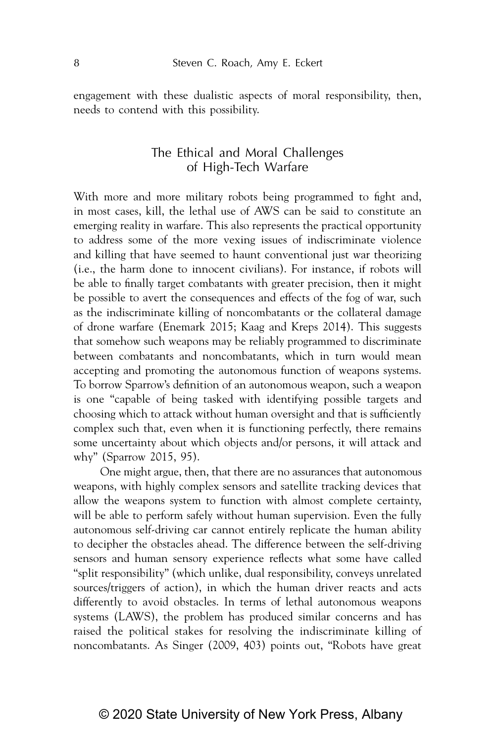engagement with these dualistic aspects of moral responsibility, then, needs to contend with this possibility.

# The Ethical and Moral Challenges of High-Tech Warfare

With more and more military robots being programmed to fight and, in most cases, kill, the lethal use of AWS can be said to constitute an emerging reality in warfare. This also represents the practical opportunity to address some of the more vexing issues of indiscriminate violence and killing that have seemed to haunt conventional just war theorizing (i.e., the harm done to innocent civilians). For instance, if robots will be able to finally target combatants with greater precision, then it might be possible to avert the consequences and effects of the fog of war, such as the indiscriminate killing of noncombatants or the collateral damage of drone warfare (Enemark 2015; Kaag and Kreps 2014). This suggests that somehow such weapons may be reliably programmed to discriminate between combatants and noncombatants, which in turn would mean accepting and promoting the autonomous function of weapons systems. To borrow Sparrow's definition of an autonomous weapon, such a weapon is one "capable of being tasked with identifying possible targets and choosing which to attack without human oversight and that is sufficiently complex such that, even when it is functioning perfectly, there remains some uncertainty about which objects and/or persons, it will attack and why" (Sparrow 2015, 95).

One might argue, then, that there are no assurances that autonomous weapons, with highly complex sensors and satellite tracking devices that allow the weapons system to function with almost complete certainty, will be able to perform safely without human supervision. Even the fully autonomous self-driving car cannot entirely replicate the human ability to decipher the obstacles ahead. The difference between the self- driving sensors and human sensory experience reflects what some have called "split responsibility" (which unlike, dual responsibility, conveys unrelated sources/triggers of action), in which the human driver reacts and acts differently to avoid obstacles. In terms of lethal autonomous weapons systems (LAWS), the problem has produced similar concerns and has raised the political stakes for resolving the indiscriminate killing of noncombatants. As Singer (2009, 403) points out, "Robots have great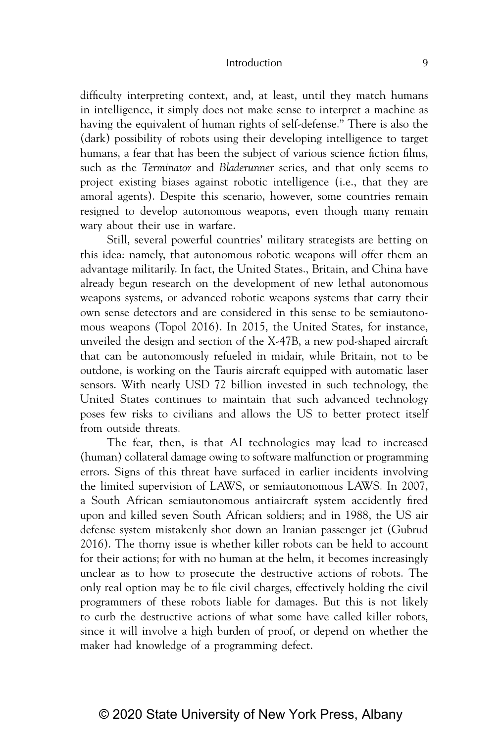difficulty interpreting context, and, at least, until they match humans in intelligence, it simply does not make sense to interpret a machine as having the equivalent of human rights of self-defense." There is also the (dark) possibility of robots using their developing intelligence to target humans, a fear that has been the subject of various science fiction films, such as the *Terminator* and *Bladerunner* series, and that only seems to project existing biases against robotic intelligence (i.e., that they are amoral agents). Despite this scenario, however, some countries remain resigned to develop autonomous weapons, even though many remain wary about their use in warfare.

Still, several powerful countries' military strategists are betting on this idea: namely, that autonomous robotic weapons will offer them an advantage militarily. In fact, the United States., Britain, and China have already begun research on the development of new lethal autonomous weapons systems, or advanced robotic weapons systems that carry their own sense detectors and are considered in this sense to be semiautonomous weapons (Topol 2016). In 2015, the United States, for instance, unveiled the design and section of the X-47B, a new pod-shaped aircraft that can be autonomously refueled in midair, while Britain, not to be outdone, is working on the Tauris aircraft equipped with automatic laser sensors. With nearly USD 72 billion invested in such technology, the United States continues to maintain that such advanced technology poses few risks to civilians and allows the US to better protect itself from outside threats.

The fear, then, is that AI technologies may lead to increased (human) collateral damage owing to software malfunction or programming errors. Signs of this threat have surfaced in earlier incidents involving the limited supervision of LAWS, or semiautonomous LAWS. In 2007, a South African semiautonomous antiaircraft system accidently fired upon and killed seven South African soldiers; and in 1988, the US air defense system mistakenly shot down an Iranian passenger jet (Gubrud 2016). The thorny issue is whether killer robots can be held to account for their actions; for with no human at the helm, it becomes increasingly unclear as to how to prosecute the destructive actions of robots. The only real option may be to file civil charges, effectively holding the civil programmers of these robots liable for damages. But this is not likely to curb the destructive actions of what some have called killer robots, since it will involve a high burden of proof, or depend on whether the maker had knowledge of a programming defect.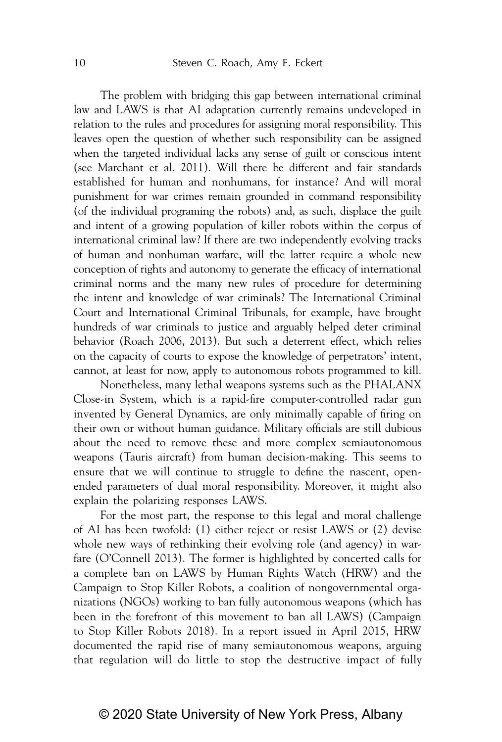The problem with bridging this gap between international criminal law and LAWS is that AI adaptation currently remains undeveloped in relation to the rules and procedures for assigning moral responsibility. This leaves open the question of whether such responsibility can be assigned when the targeted individual lacks any sense of guilt or conscious intent (see Marchant et al. 2011). Will there be different and fair standards established for human and nonhumans, for instance? And will moral punishment for war crimes remain grounded in command responsibility (of the individual programing the robots) and, as such, displace the guilt and intent of a growing population of killer robots within the corpus of international criminal law? If there are two independently evolving tracks of human and nonhuman warfare, will the latter require a whole new conception of rights and autonomy to generate the efficacy of international criminal norms and the many new rules of procedure for determining the intent and knowledge of war criminals? The International Criminal Court and International Criminal Tribunals, for example, have brought hundreds of war criminals to justice and arguably helped deter criminal behavior (Roach 2006, 2013). But such a deterrent effect, which relies on the capacity of courts to expose the knowledge of perpetrators' intent, cannot, at least for now, apply to autonomous robots programmed to kill.

Nonetheless, many lethal weapons systems such as the PHALANX Close-in System, which is a rapid-fire computer-controlled radar gun invented by General Dynamics, are only minimally capable of firing on their own or without human guidance. Military officials are still dubious about the need to remove these and more complex semiautonomous weapons (Tauris aircraft) from human decision-making. This seems to ensure that we will continue to struggle to define the nascent, openended parameters of dual moral responsibility. Moreover, it might also explain the polarizing responses LAWS.

For the most part, the response to this legal and moral challenge of AI has been twofold: (1) either reject or resist LAWS or (2) devise whole new ways of rethinking their evolving role (and agency) in warfare (O'Connell 2013). The former is highlighted by concerted calls for a complete ban on LAWS by Human Rights Watch (HRW) and the Campaign to Stop Killer Robots, a coalition of nongovernmental organizations (NGOs) working to ban fully autonomous weapons (which has been in the forefront of this movement to ban all LAWS) (Campaign to Stop Killer Robots 2018). In a report issued in April 2015, HRW documented the rapid rise of many semiautonomous weapons, arguing that regulation will do little to stop the destructive impact of fully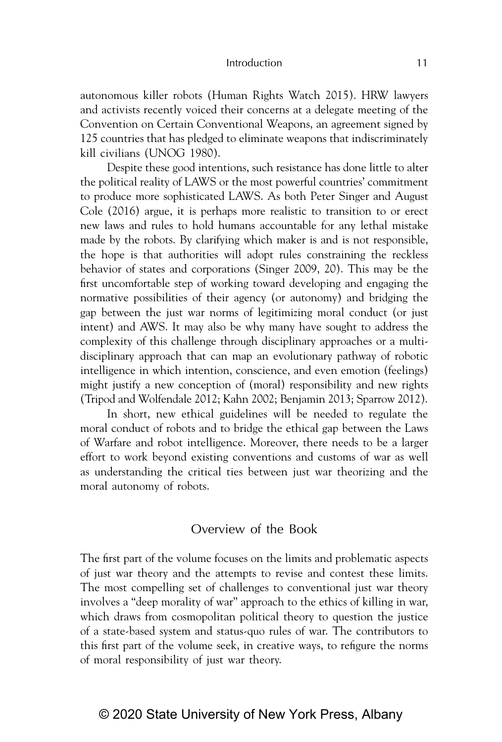autonomous killer robots (Human Rights Watch 2015). HRW lawyers and activists recently voiced their concerns at a delegate meeting of the Convention on Certain Conventional Weapons, an agreement signed by 125 countries that has pledged to eliminate weapons that indiscriminately kill civilians (UNOG 1980).

Despite these good intentions, such resistance has done little to alter the political reality of LAWS or the most powerful countries' commitment to produce more sophisticated LAWS. As both Peter Singer and August Cole (2016) argue, it is perhaps more realistic to transition to or erect new laws and rules to hold humans accountable for any lethal mistake made by the robots. By clarifying which maker is and is not responsible, the hope is that authorities will adopt rules constraining the reckless behavior of states and corporations (Singer 2009, 20). This may be the first uncomfortable step of working toward developing and engaging the normative possibilities of their agency (or autonomy) and bridging the gap between the just war norms of legitimizing moral conduct (or just intent) and AWS. It may also be why many have sought to address the complexity of this challenge through disciplinary approaches or a multidisciplinary approach that can map an evolutionary pathway of robotic intelligence in which intention, conscience, and even emotion (feelings) might justify a new conception of (moral) responsibility and new rights (Tripod and Wolfendale 2012; Kahn 2002; Benjamin 2013; Sparrow 2012).

In short, new ethical guidelines will be needed to regulate the moral conduct of robots and to bridge the ethical gap between the Laws of Warfare and robot intelligence. Moreover, there needs to be a larger effort to work beyond existing conventions and customs of war as well as understanding the critical ties between just war theorizing and the moral autonomy of robots.

### Overview of the Book

The first part of the volume focuses on the limits and problematic aspects of just war theory and the attempts to revise and contest these limits. The most compelling set of challenges to conventional just war theory involves a "deep morality of war" approach to the ethics of killing in war, which draws from cosmopolitan political theory to question the justice of a state-based system and status-quo rules of war. The contributors to this first part of the volume seek, in creative ways, to refigure the norms of moral responsibility of just war theory.

# © 2020 State University of New York Press, Albany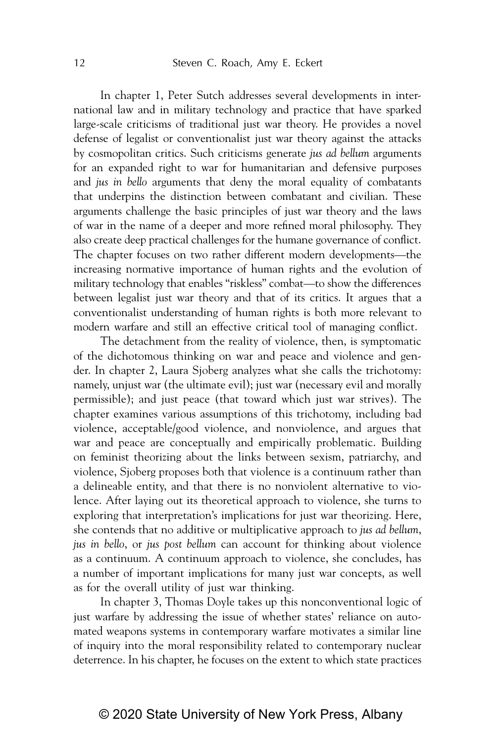In chapter 1, Peter Sutch addresses several developments in international law and in military technology and practice that have sparked large-scale criticisms of traditional just war theory. He provides a novel defense of legalist or conventionalist just war theory against the attacks by cosmopolitan critics. Such criticisms generate *jus ad bellum* arguments for an expanded right to war for humanitarian and defensive purposes and *jus in bello* arguments that deny the moral equality of combatants that underpins the distinction between combatant and civilian. These arguments challenge the basic principles of just war theory and the laws of war in the name of a deeper and more refined moral philosophy. They also create deep practical challenges for the humane governance of conflict. The chapter focuses on two rather different modern developments—the increasing normative importance of human rights and the evolution of military technology that enables "riskless" combat—to show the differences between legalist just war theory and that of its critics. It argues that a conventionalist understanding of human rights is both more relevant to modern warfare and still an effective critical tool of managing conflict.

The detachment from the reality of violence, then, is symptomatic of the dichotomous thinking on war and peace and violence and gender. In chapter 2, Laura Sjoberg analyzes what she calls the trichotomy: namely, unjust war (the ultimate evil); just war (necessary evil and morally permissible); and just peace (that toward which just war strives). The chapter examines various assumptions of this trichotomy, including bad violence, acceptable/good violence, and nonviolence, and argues that war and peace are conceptually and empirically problematic. Building on feminist theorizing about the links between sexism, patriarchy, and violence, Sjoberg proposes both that violence is a continuum rather than a delineable entity, and that there is no nonviolent alternative to violence. After laying out its theoretical approach to violence, she turns to exploring that interpretation's implications for just war theorizing. Here, she contends that no additive or multiplicative approach to *jus ad bellum*, *jus in bello*, or *jus post bellum* can account for thinking about violence as a continuum. A continuum approach to violence, she concludes, has a number of important implications for many just war concepts, as well as for the overall utility of just war thinking.

In chapter 3, Thomas Doyle takes up this nonconventional logic of just warfare by addressing the issue of whether states' reliance on automated weapons systems in contemporary warfare motivates a similar line of inquiry into the moral responsibility related to contemporary nuclear deterrence. In his chapter, he focuses on the extent to which state practices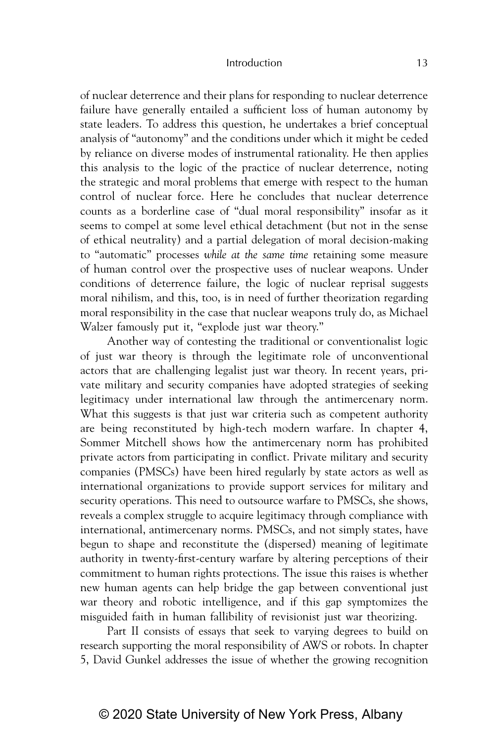of nuclear deterrence and their plans for responding to nuclear deterrence failure have generally entailed a sufficient loss of human autonomy by state leaders. To address this question, he undertakes a brief conceptual analysis of "autonomy" and the conditions under which it might be ceded by reliance on diverse modes of instrumental rationality. He then applies this analysis to the logic of the practice of nuclear deterrence, noting the strategic and moral problems that emerge with respect to the human control of nuclear force. Here he concludes that nuclear deterrence counts as a borderline case of "dual moral responsibility" insofar as it seems to compel at some level ethical detachment (but not in the sense of ethical neutrality) and a partial delegation of moral decision-making to "automatic" processes *while at the same time* retaining some measure of human control over the prospective uses of nuclear weapons. Under conditions of deterrence failure, the logic of nuclear reprisal suggests moral nihilism, and this, too, is in need of further theorization regarding moral responsibility in the case that nuclear weapons truly do, as Michael Walzer famously put it, "explode just war theory."

Another way of contesting the traditional or conventionalist logic of just war theory is through the legitimate role of unconventional actors that are challenging legalist just war theory. In recent years, private military and security companies have adopted strategies of seeking legitimacy under international law through the antimercenary norm. What this suggests is that just war criteria such as competent authority are being reconstituted by high-tech modern warfare. In chapter 4, Sommer Mitchell shows how the antimercenary norm has prohibited private actors from participating in conflict. Private military and security companies (PMSCs) have been hired regularly by state actors as well as international organizations to provide support services for military and security operations. This need to outsource warfare to PMSCs, she shows, reveals a complex struggle to acquire legitimacy through compliance with international, antimercenary norms. PMSCs, and not simply states, have begun to shape and reconstitute the (dispersed) meaning of legitimate authority in twenty-first-century warfare by altering perceptions of their commitment to human rights protections. The issue this raises is whether new human agents can help bridge the gap between conventional just war theory and robotic intelligence, and if this gap symptomizes the misguided faith in human fallibility of revisionist just war theorizing.

Part II consists of essays that seek to varying degrees to build on research supporting the moral responsibility of AWS or robots. In chapter 5, David Gunkel addresses the issue of whether the growing recognition

# © 2020 State University of New York Press, Albany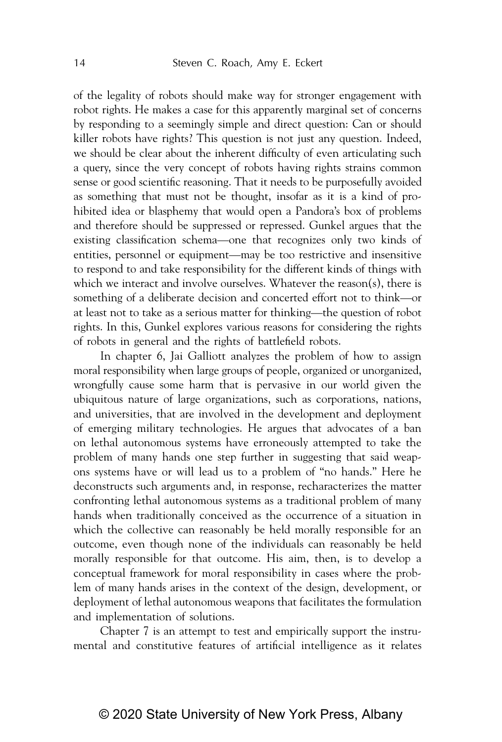of the legality of robots should make way for stronger engagement with robot rights. He makes a case for this apparently marginal set of concerns by responding to a seemingly simple and direct question: Can or should killer robots have rights? This question is not just any question. Indeed, we should be clear about the inherent difficulty of even articulating such a query, since the very concept of robots having rights strains common sense or good scientific reasoning. That it needs to be purposefully avoided as something that must not be thought, insofar as it is a kind of prohibited idea or blasphemy that would open a Pandora's box of problems and therefore should be suppressed or repressed. Gunkel argues that the existing classification schema—one that recognizes only two kinds of entities, personnel or equipment—may be too restrictive and insensitive to respond to and take responsibility for the different kinds of things with which we interact and involve ourselves. Whatever the reason(s), there is something of a deliberate decision and concerted effort not to think—or at least not to take as a serious matter for thinking—the question of robot rights. In this, Gunkel explores various reasons for considering the rights of robots in general and the rights of battlefield robots.

In chapter 6, Jai Galliott analyzes the problem of how to assign moral responsibility when large groups of people, organized or unorganized, wrongfully cause some harm that is pervasive in our world given the ubiquitous nature of large organizations, such as corporations, nations, and universities, that are involved in the development and deployment of emerging military technologies. He argues that advocates of a ban on lethal autonomous systems have erroneously attempted to take the problem of many hands one step further in suggesting that said weapons systems have or will lead us to a problem of "no hands." Here he deconstructs such arguments and, in response, recharacterizes the matter confronting lethal autonomous systems as a traditional problem of many hands when traditionally conceived as the occurrence of a situation in which the collective can reasonably be held morally responsible for an outcome, even though none of the individuals can reasonably be held morally responsible for that outcome. His aim, then, is to develop a conceptual framework for moral responsibility in cases where the problem of many hands arises in the context of the design, development, or deployment of lethal autonomous weapons that facilitates the formulation and implementation of solutions.

Chapter 7 is an attempt to test and empirically support the instrumental and constitutive features of artificial intelligence as it relates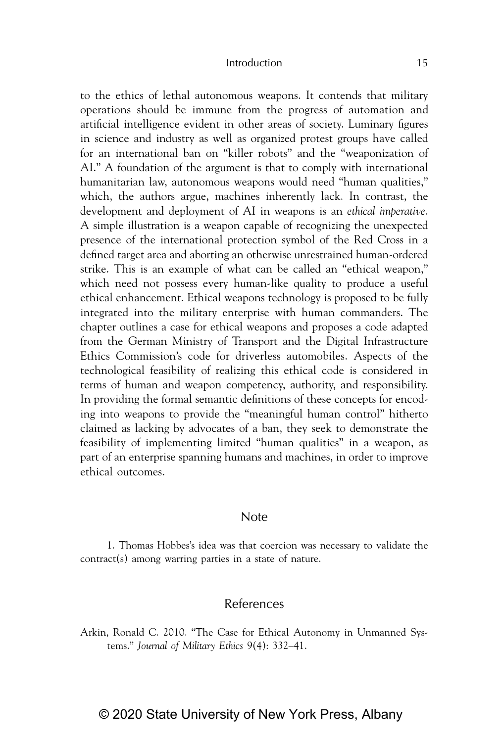to the ethics of lethal autonomous weapons. It contends that military operations should be immune from the progress of automation and artificial intelligence evident in other areas of society. Luminary figures in science and industry as well as organized protest groups have called for an international ban on "killer robots" and the "weaponization of AI." A foundation of the argument is that to comply with international humanitarian law, autonomous weapons would need "human qualities," which, the authors argue, machines inherently lack. In contrast, the development and deployment of AI in weapons is an *ethical imperative*. A simple illustration is a weapon capable of recognizing the unexpected presence of the international protection symbol of the Red Cross in a defined target area and aborting an otherwise unrestrained human-ordered strike. This is an example of what can be called an "ethical weapon," which need not possess every human-like quality to produce a useful ethical enhancement. Ethical weapons technology is proposed to be fully integrated into the military enterprise with human commanders. The chapter outlines a case for ethical weapons and proposes a code adapted from the German Ministry of Transport and the Digital Infrastructure Ethics Commission's code for driverless automobiles. Aspects of the technological feasibility of realizing this ethical code is considered in terms of human and weapon competency, authority, and responsibility. In providing the formal semantic definitions of these concepts for encoding into weapons to provide the "meaningful human control" hitherto claimed as lacking by advocates of a ban, they seek to demonstrate the feasibility of implementing limited "human qualities" in a weapon, as part of an enterprise spanning humans and machines, in order to improve ethical outcomes.

#### Note

1. Thomas Hobbes's idea was that coercion was necessary to validate the contract(s) among warring parties in a state of nature.

#### References

Arkin, Ronald C. 2010. "The Case for Ethical Autonomy in Unmanned Systems." *Journal of Military Ethics* 9(4): 332–41.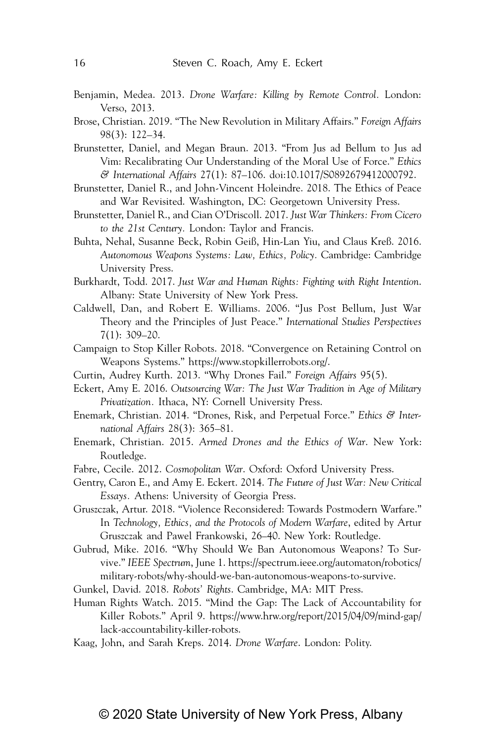- Benjamin, Medea. 2013. *Drone Warfare: Killing by Remote Control.* London: Verso, 2013.
- Brose, Christian. 2019. "The New Revolution in Military Affairs." *Foreign Affairs* 98(3): 122–34.
- Brunstetter, Daniel, and Megan Braun. 2013. "From Jus ad Bellum to Jus ad Vim: Recalibrating Our Understanding of the Moral Use of Force." *Ethics & International Affairs* 27(1): 87–106. doi:10.1017/S0892679412000792.
- Brunstetter, Daniel R., and John-Vincent Holeindre. 2018. The Ethics of Peace and War Revisited. Washington, DC: Georgetown University Press.
- Brunstetter, Daniel R., and Cian O'Driscoll. 2017. *Just War Thinkers: From Cicero to the 21st Century.* London: Taylor and Francis.
- Buhta, Nehal, Susanne Beck, Robin Geiß, Hin-Lan Yiu, and Claus Kreß. 2016. *Autonomous Weapons Systems: Law, Ethics, Policy.* Cambridge: Cambridge University Press.
- Burkhardt, Todd. 2017. *Just War and Human Rights: Fighting with Right Intention*. Albany: State University of New York Press.
- Caldwell, Dan, and Robert E. Williams. 2006. "Jus Post Bellum, Just War Theory and the Principles of Just Peace." *International Studies Perspectives* 7(1): 309–20.
- Campaign to Stop Killer Robots. 2018. "Convergence on Retaining Control on Weapons Systems." https://www.stopkillerrobots.org/.
- Curtin, Audrey Kurth. 2013. "Why Drones Fail." *Foreign Affairs* 95(5).
- Eckert, Amy E. 2016. *Outsourcing War: The Just War Tradition in Age of Military Privatization.* Ithaca, NY: Cornell University Press.
- Enemark, Christian. 2014. "Drones, Risk, and Perpetual Force." *Ethics & International Affairs* 28(3): 365–81.
- Enemark, Christian. 2015. *Armed Drones and the Ethics of War*. New York: Routledge.
- Fabre, Cecile. 2012. *Cosmopolitan War*. Oxford: Oxford University Press.
- Gentry, Caron E., and Amy E. Eckert. 2014. *The Future of Just War: New Critical Essays.* Athens: University of Georgia Press.
- Gruszczak, Artur. 2018. "Violence Reconsidered: Towards Postmodern Warfare." In *Technology, Ethics, and the Protocols of Modern Warfare*, edited by Artur Gruszczak and Pawel Frankowski, 26–40. New York: Routledge.
- Gubrud, Mike. 2016. "Why Should We Ban Autonomous Weapons? To Survive." *IEEE Spectrum*, June 1. https://spectrum.ieee.org/automaton/robotics/ military-robots/why-should-we-ban-autonomous-weapons-to-survive.
- Gunkel, David. 2018. *Robots' Rights*. Cambridge, MA: MIT Press.
- Human Rights Watch. 2015. "Mind the Gap: The Lack of Accountability for Killer Robots." April 9. https://www.hrw.org/report/2015/04/09/mind-gap/ lack-accountability-killer-robots.
- Kaag, John, and Sarah Kreps. 2014. *Drone Warfare*. London: Polity.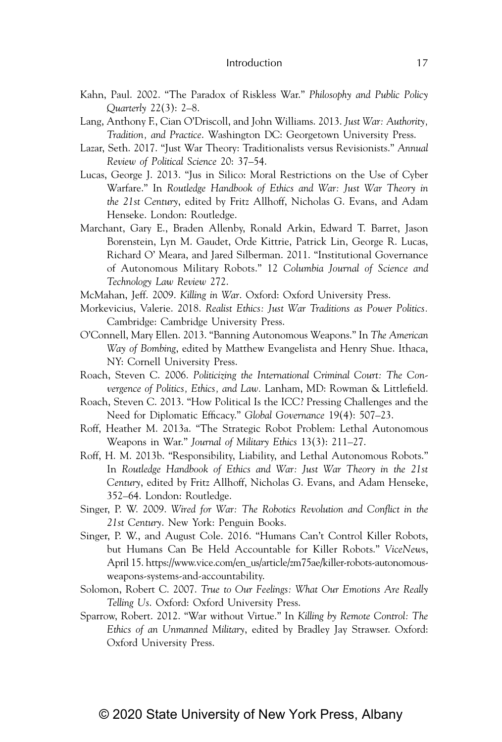- Kahn, Paul. 2002. "The Paradox of Riskless War." *Philosophy and Public Policy Quarterly* 22(3): 2–8.
- Lang, Anthony F., Cian O'Driscoll, and John Williams. 2013. *Just War: Authority, Tradition, and Practice*. Washington DC: Georgetown University Press.
- Lazar, Seth. 2017. "Just War Theory: Traditionalists versus Revisionists." *Annual Review of Political Science* 20: 37–54.
- Lucas, George J. 2013. "Jus in Silico: Moral Restrictions on the Use of Cyber Warfare." In *Routledge Handbook of Ethics and War: Just War Theory in the 21st Century*, edited by Fritz Allhoff, Nicholas G. Evans, and Adam Henseke. London: Routledge.
- Marchant, Gary E., Braden Allenby, Ronald Arkin, Edward T. Barret, Jason Borenstein, Lyn M. Gaudet, Orde Kittrie, Patrick Lin, George R. Lucas, Richard O' Meara, and Jared Silberman. 2011. "Institutional Governance of Autonomous Military Robots." 12 *Columbia Journal of Science and Technology Law Review* 272.
- McMahan, Jeff. 2009. *Killing in War*. Oxford: Oxford University Press.
- Morkevicius, Valerie. 2018. *Realist Ethics: Just War Traditions as Power Politics.* Cambridge: Cambridge University Press.
- O'Connell, Mary Ellen. 2013. "Banning Autonomous Weapons." In *The American Way of Bombing*, edited by Matthew Evangelista and Henry Shue. Ithaca, NY: Cornell University Press.
- Roach, Steven C. 2006. *Politicizing the International Criminal Court: The Convergence of Politics, Ethics, and Law.* Lanham, MD: Rowman & Littlefield.
- Roach, Steven C. 2013. "How Political Is the ICC? Pressing Challenges and the Need for Diplomatic Efficacy." *Global Governance* 19(4): 507–23.
- Roff, Heather M. 2013a. "The Strategic Robot Problem: Lethal Autonomous Weapons in War." *Journal of Military Ethics* 13(3): 211–27.
- Roff, H. M. 2013b. "Responsibility, Liability, and Lethal Autonomous Robots." In *Routledge Handbook of Ethics and War: Just War Theory in the 21st Century*, edited by Fritz Allhoff, Nicholas G. Evans, and Adam Henseke, 352–64. London: Routledge.
- Singer, P. W. 2009. *Wired for War: The Robotics Revolution and Conflict in the 21st Century*. New York: Penguin Books.
- Singer, P. W., and August Cole. 2016. "Humans Can't Control Killer Robots, but Humans Can Be Held Accountable for Killer Robots." *ViceNew*s, April 15. https://www.vice.com/en\_us/article/zm75ae/killer-robots-autonomousweapons-systems-and-accountability.
- Solomon, Robert C. 2007. *True to Our Feelings: What Our Emotions Are Really Telling Us*. Oxford: Oxford University Press.
- Sparrow, Robert. 2012. "War without Virtue." In *Killing by Remote Control: The Ethics of an Unmanned Military*, edited by Bradley Jay Strawser. Oxford: Oxford University Press.